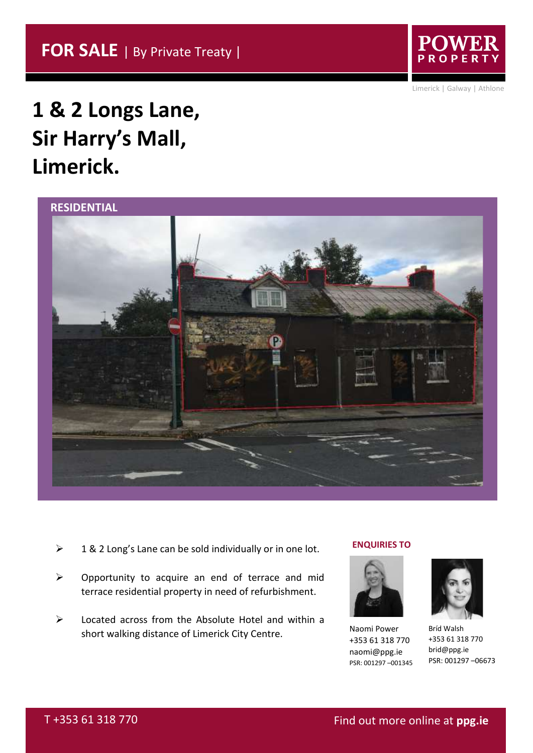

Limerick | Galway | Athlone

# **1 & 2 Longs Lane, Sir Harry's Mall, Limerick.**



- $\geq 18$  2 Long's Lane can be sold individually or in one lot.
- ➢ Opportunity to acquire an end of terrace and mid terrace residential property in need of refurbishment.
- ➢ Located across from the Absolute Hotel and within a short walking distance of Limerick City Centre.

# **ENQUIRIES TO**



Naomi Power +353 61 318 770 naomi@ppg.ie PSR: 001297 –001345



Bríd Walsh +353 61 318 770 brid@ppg.ie PSR: 001297 –06673